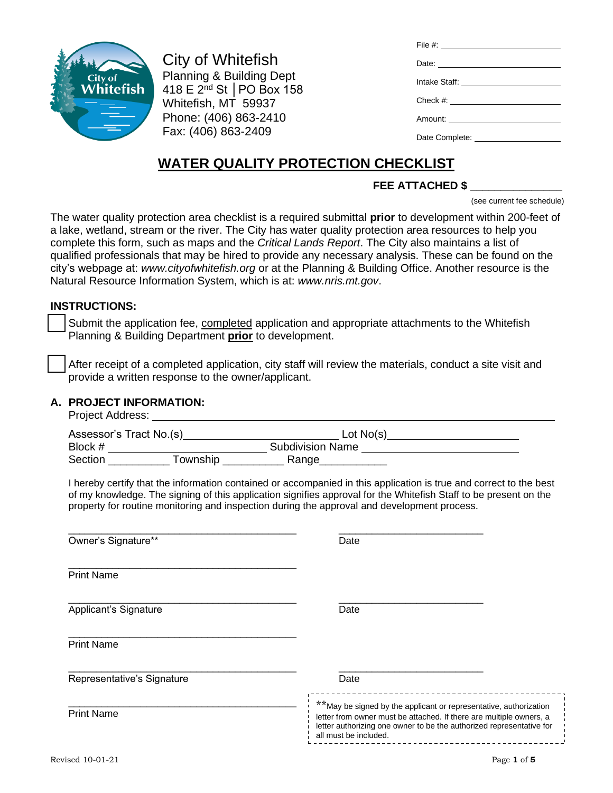

City of Whitefish Planning & Building Dept 418 E 2nd St │PO Box 158 Whitefish, MT 59937 Phone: (406) 863-2410 Fax: (406) 863-2409

| File #: __________________________     |
|----------------------------------------|
| Date: ________________________         |
| Intake Staff: ________________________ |
|                                        |
|                                        |
|                                        |

# **WATER QUALITY PROTECTION CHECKLIST**

## **FEE ATTACHED \$ \_\_\_\_\_\_\_\_\_\_\_\_\_\_\_**

(see current fee schedule)

The water quality protection area checklist is a required submittal **prior** to development within 200-feet of a lake, wetland, stream or the river. The City has water quality protection area resources to help you complete this form, such as maps and the *Critical Lands Report*. The City also maintains a list of qualified professionals that may be hired to provide any necessary analysis. These can be found on the city's webpage at: *[www.cityofwhitefish.org](http://www.cityofwhitefish.org/)* or at the Planning & Building Office. Another resource is the Natural Resource Information System, which is at: *www.nris.mt.gov*.

### **INSTRUCTIONS:**

Submit the application fee, completed application and appropriate attachments to the Whitefish Planning & Building Department **prior** to development.

After receipt of a completed application, city staff will review the materials, conduct a site visit and provide a written response to the owner/applicant.

#### **A. PROJECT INFORMATION:**

Project Address:

| i Tujuut Auurupo.          |                                                                                                                                                                                                                                                                                                                                       |  |  |  |
|----------------------------|---------------------------------------------------------------------------------------------------------------------------------------------------------------------------------------------------------------------------------------------------------------------------------------------------------------------------------------|--|--|--|
|                            |                                                                                                                                                                                                                                                                                                                                       |  |  |  |
|                            |                                                                                                                                                                                                                                                                                                                                       |  |  |  |
|                            |                                                                                                                                                                                                                                                                                                                                       |  |  |  |
|                            | I hereby certify that the information contained or accompanied in this application is true and correct to the best<br>of my knowledge. The signing of this application signifies approval for the Whitefish Staff to be present on the<br>property for routine monitoring and inspection during the approval and development process. |  |  |  |
| Owner's Signature**        | Date                                                                                                                                                                                                                                                                                                                                  |  |  |  |
| <b>Print Name</b>          |                                                                                                                                                                                                                                                                                                                                       |  |  |  |
| Applicant's Signature      | Date                                                                                                                                                                                                                                                                                                                                  |  |  |  |
| <b>Print Name</b>          |                                                                                                                                                                                                                                                                                                                                       |  |  |  |
| Representative's Signature | Date                                                                                                                                                                                                                                                                                                                                  |  |  |  |
|                            | ____________________________________<br>$**$ May be signed by the applicant or representative authorization                                                                                                                                                                                                                           |  |  |  |

Print Name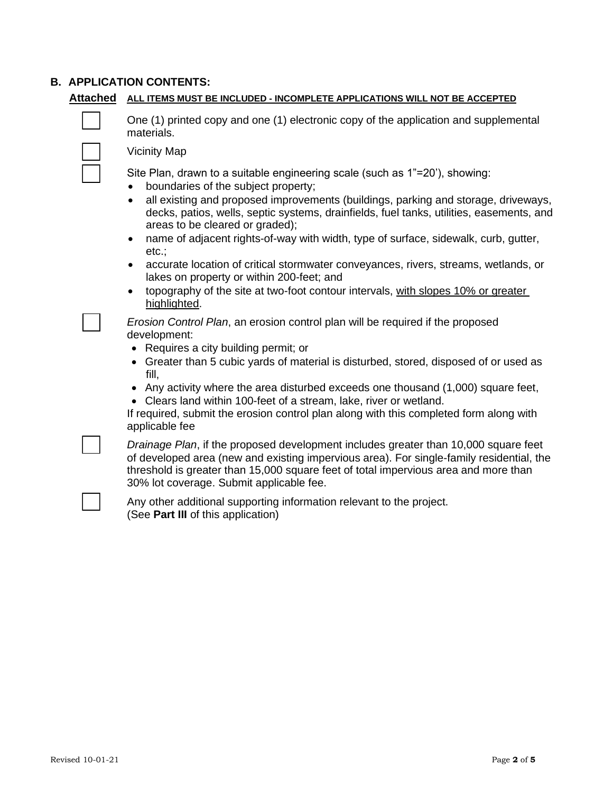#### **B. APPLICATION CONTENTS:**

#### **Attached ALL ITEMS MUST BE INCLUDED - INCOMPLETE APPLICATIONS WILL NOT BE ACCEPTED**



❑ One (1) printed copy and one (1) electronic copy of the application and supplemental materials.

❑ Vicinity Map

Site Plan, drawn to a suitable engineering scale (such as 1"=20'), showing:

- boundaries of the subject property;
- all existing and proposed improvements (buildings, parking and storage, driveways, decks, patios, wells, septic systems, drainfields, fuel tanks, utilities, easements, and areas to be cleared or graded);
- name of adjacent rights-of-way with width, type of surface, sidewalk, curb, gutter, etc.;
- accurate location of critical stormwater conveyances, rivers, streams, wetlands, or lakes on property or within 200-feet; and
- topography of the site at two-foot contour intervals, with slopes 10% or greater highlighted.

❑ *Erosion Control Plan*, an erosion control plan will be required if the proposed development:

- Requires a city building permit; or
- Greater than 5 cubic yards of material is disturbed, stored, disposed of or used as fill,
- Any activity where the area disturbed exceeds one thousand (1,000) square feet,
- Clears land within 100-feet of a stream, lake, river or wetland.

If required, submit the erosion control plan along with this completed form along with applicable fee

❑ *Drainage Plan*, if the proposed development includes greater than 10,000 square feet of developed area (new and existing impervious area). For single-family residential, the threshold is greater than 15,000 square feet of total impervious area and more than 30% lot coverage. Submit applicable fee.

Any other additional supporting information relevant to the project. (See **Part III** of this application)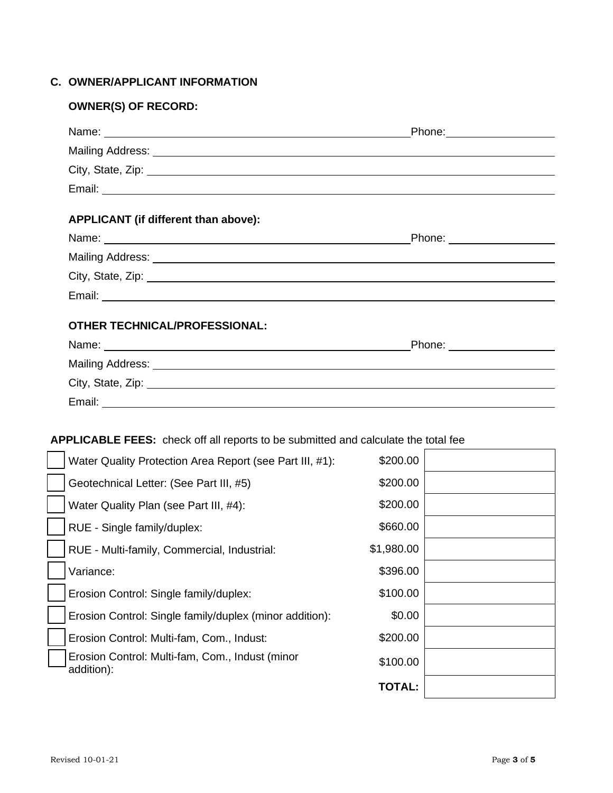## **C. OWNER/APPLICANT INFORMATION**

## **OWNER(S) OF RECORD:**

| Name: Name: Name: Name: Name: Name: Name: Name: Name: Name: Name: Name: Name: Name: Name: Name: Name: Name: Name: Name: Name: Name: Name: Name: Name: Name: Name: Name: Name: Name: Name: Name: Name: Name: Name: Name: Name:  | Phone: _____________________ |  |  |  |
|--------------------------------------------------------------------------------------------------------------------------------------------------------------------------------------------------------------------------------|------------------------------|--|--|--|
|                                                                                                                                                                                                                                |                              |  |  |  |
| City, State, Zip: 2008. Experience of the State of Table 1999. The State of Table 2009. The State of Table 200                                                                                                                 |                              |  |  |  |
|                                                                                                                                                                                                                                |                              |  |  |  |
| APPLICANT (if different than above):                                                                                                                                                                                           |                              |  |  |  |
|                                                                                                                                                                                                                                | Phone: ___________________   |  |  |  |
|                                                                                                                                                                                                                                |                              |  |  |  |
| City, State, Zip: 2008. Experience of the State of Table 2008. The State of Table 2008. The State of Table 200                                                                                                                 |                              |  |  |  |
|                                                                                                                                                                                                                                |                              |  |  |  |
| <b>OTHER TECHNICAL/PROFESSIONAL:</b>                                                                                                                                                                                           |                              |  |  |  |
|                                                                                                                                                                                                                                |                              |  |  |  |
|                                                                                                                                                                                                                                |                              |  |  |  |
| City, State, Zip: 2008. Experience of the state of the state of the state of the state of the state of the state of the state of the state of the state of the state of the state of the state of the state of the state of th |                              |  |  |  |
|                                                                                                                                                                                                                                |                              |  |  |  |
|                                                                                                                                                                                                                                |                              |  |  |  |

## **APPLICABLE FEES:** check off all reports to be submitted and calculate the total fee

| Water Quality Protection Area Report (see Part III, #1):      | \$200.00   |  |
|---------------------------------------------------------------|------------|--|
| Geotechnical Letter: (See Part III, #5)                       | \$200.00   |  |
| Water Quality Plan (see Part III, #4):                        | \$200.00   |  |
| RUE - Single family/duplex:                                   | \$660.00   |  |
| RUE - Multi-family, Commercial, Industrial:                   | \$1,980.00 |  |
| Variance:                                                     | \$396.00   |  |
| Erosion Control: Single family/duplex:                        | \$100.00   |  |
| Erosion Control: Single family/duplex (minor addition):       | \$0.00     |  |
| Erosion Control: Multi-fam, Com., Indust:                     | \$200.00   |  |
| Erosion Control: Multi-fam, Com., Indust (minor<br>addition): | \$100.00   |  |
|                                                               | TOTAL:     |  |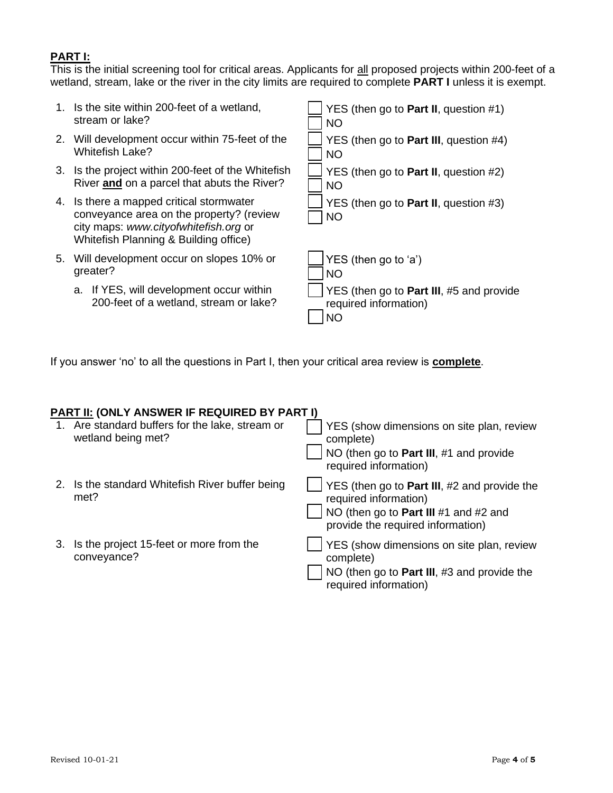## **PART I:**

This is the initial screening tool for critical areas. Applicants for all proposed projects within 200-feet of a wetland, stream, lake or the river in the city limits are required to complete **PART I** unless it is exempt.



If you answer 'no' to all the questions in Part I, then your critical area review is **complete**.

### **PART II: (ONLY ANSWER IF REQUIRED BY PART I)**

|    | 1. Are standard buffers for the lake, stream or<br>wetland being met? | YES (show dimensions on site plan, review<br>complete)<br>NO (then go to Part III, #1 and provide<br>required information)                              |
|----|-----------------------------------------------------------------------|---------------------------------------------------------------------------------------------------------------------------------------------------------|
|    | Is the standard Whitefish River buffer being<br>met?                  | YES (then go to Part III, #2 and provide the<br>required information)<br>NO (then go to Part III $#1$ and $#2$ and<br>provide the required information) |
| 3. | Is the project 15-feet or more from the<br>conveyance?                | YES (show dimensions on site plan, review<br>complete)<br>NO (then go to Part III, #3 and provide the<br>required information)                          |